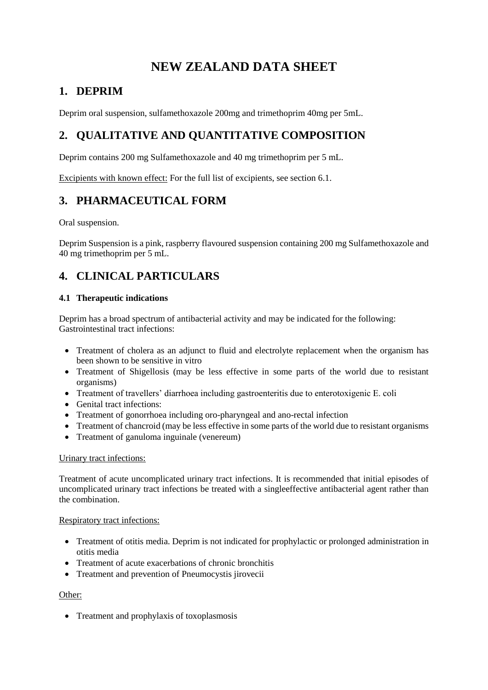# **NEW ZEALAND DATA SHEET**

## **1. DEPRIM**

Deprim oral suspension, sulfamethoxazole 200mg and trimethoprim 40mg per 5mL.

## **2. QUALITATIVE AND QUANTITATIVE COMPOSITION**

Deprim contains 200 mg Sulfamethoxazole and 40 mg trimethoprim per 5 mL.

Excipients with known effect: For the full list of excipients, see section 6.1.

## **3. PHARMACEUTICAL FORM**

Oral suspension.

Deprim Suspension is a pink, raspberry flavoured suspension containing 200 mg Sulfamethoxazole and 40 mg trimethoprim per 5 mL.

## **4. CLINICAL PARTICULARS**

## **4.1 Therapeutic indications**

Deprim has a broad spectrum of antibacterial activity and may be indicated for the following: Gastrointestinal tract infections:

- Treatment of cholera as an adjunct to fluid and electrolyte replacement when the organism has been shown to be sensitive in vitro
- Treatment of Shigellosis (may be less effective in some parts of the world due to resistant organisms)
- Treatment of travellers' diarrhoea including gastroenteritis due to enterotoxigenic E. coli
- Genital tract infections:
- Treatment of gonorrhoea including oro-pharyngeal and ano-rectal infection
- Treatment of chancroid (may be less effective in some parts of the world due to resistant organisms
- Treatment of ganuloma inguinale (venereum)

#### Urinary tract infections:

Treatment of acute uncomplicated urinary tract infections. It is recommended that initial episodes of uncomplicated urinary tract infections be treated with a singleeffective antibacterial agent rather than the combination.

## Respiratory tract infections:

- Treatment of otitis media. Deprim is not indicated for prophylactic or prolonged administration in otitis media
- Treatment of acute exacerbations of chronic bronchitis
- Treatment and prevention of Pneumocystis jirovecii

## Other:

• Treatment and prophylaxis of toxoplasmosis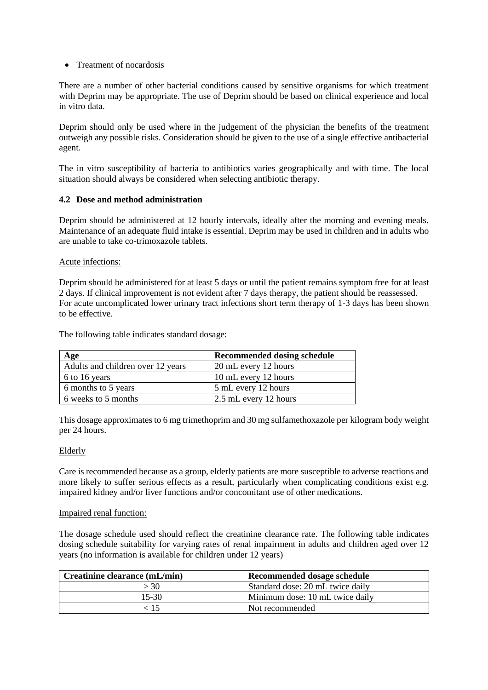### • Treatment of nocardosis

There are a number of other bacterial conditions caused by sensitive organisms for which treatment with Deprim may be appropriate. The use of Deprim should be based on clinical experience and local in vitro data.

Deprim should only be used where in the judgement of the physician the benefits of the treatment outweigh any possible risks. Consideration should be given to the use of a single effective antibacterial agent.

The in vitro susceptibility of bacteria to antibiotics varies geographically and with time. The local situation should always be considered when selecting antibiotic therapy.

### **4.2 Dose and method administration**

Deprim should be administered at 12 hourly intervals, ideally after the morning and evening meals. Maintenance of an adequate fluid intake is essential. Deprim may be used in children and in adults who are unable to take co-trimoxazole tablets.

#### Acute infections:

Deprim should be administered for at least 5 days or until the patient remains symptom free for at least 2 days. If clinical improvement is not evident after 7 days therapy, the patient should be reassessed. For acute uncomplicated lower urinary tract infections short term therapy of 1-3 days has been shown to be effective.

The following table indicates standard dosage:

| Age                               | <b>Recommended dosing schedule</b> |
|-----------------------------------|------------------------------------|
| Adults and children over 12 years | 20 mL every 12 hours               |
| 6 to 16 years                     | 10 mL every 12 hours               |
| 6 months to 5 years               | 5 mL every 12 hours                |
| 6 weeks to 5 months               | 2.5 mL every 12 hours              |

This dosage approximates to 6 mg trimethoprim and 30 mg sulfamethoxazole per kilogram body weight per 24 hours.

#### Elderly

Care is recommended because as a group, elderly patients are more susceptible to adverse reactions and more likely to suffer serious effects as a result, particularly when complicating conditions exist e.g. impaired kidney and/or liver functions and/or concomitant use of other medications.

#### Impaired renal function:

The dosage schedule used should reflect the creatinine clearance rate. The following table indicates dosing schedule suitability for varying rates of renal impairment in adults and children aged over 12 years (no information is available for children under 12 years)

| Creatinine clearance (mL/min) | Recommended dosage schedule      |
|-------------------------------|----------------------------------|
| > 30                          | Standard dose: 20 mL twice daily |
| 15-30                         | Minimum dose: 10 mL twice daily  |
| 15 ج                          | Not recommended                  |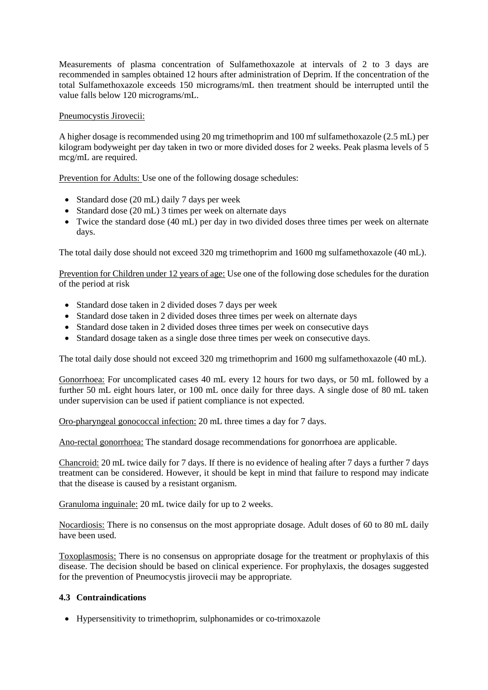Measurements of plasma concentration of Sulfamethoxazole at intervals of 2 to 3 days are recommended in samples obtained 12 hours after administration of Deprim. If the concentration of the total Sulfamethoxazole exceeds 150 micrograms/mL then treatment should be interrupted until the value falls below 120 micrograms/mL.

### Pneumocystis Jirovecii:

A higher dosage is recommended using 20 mg trimethoprim and 100 mf sulfamethoxazole (2.5 mL) per kilogram bodyweight per day taken in two or more divided doses for 2 weeks. Peak plasma levels of 5 mcg/mL are required.

Prevention for Adults: Use one of the following dosage schedules:

- Standard dose (20 mL) daily 7 days per week
- Standard dose (20 mL) 3 times per week on alternate days
- Twice the standard dose (40 mL) per day in two divided doses three times per week on alternate days.

The total daily dose should not exceed 320 mg trimethoprim and 1600 mg sulfamethoxazole (40 mL).

Prevention for Children under 12 years of age: Use one of the following dose schedules for the duration of the period at risk

- Standard dose taken in 2 divided doses 7 days per week
- Standard dose taken in 2 divided doses three times per week on alternate days
- Standard dose taken in 2 divided doses three times per week on consecutive days
- Standard dosage taken as a single dose three times per week on consecutive days.

The total daily dose should not exceed 320 mg trimethoprim and 1600 mg sulfamethoxazole (40 mL).

Gonorrhoea: For uncomplicated cases 40 mL every 12 hours for two days, or 50 mL followed by a further 50 mL eight hours later, or 100 mL once daily for three days. A single dose of 80 mL taken under supervision can be used if patient compliance is not expected.

Oro-pharyngeal gonococcal infection: 20 mL three times a day for 7 days.

Ano-rectal gonorrhoea: The standard dosage recommendations for gonorrhoea are applicable.

Chancroid: 20 mL twice daily for 7 days. If there is no evidence of healing after 7 days a further 7 days treatment can be considered. However, it should be kept in mind that failure to respond may indicate that the disease is caused by a resistant organism.

Granuloma inguinale: 20 mL twice daily for up to 2 weeks.

Nocardiosis: There is no consensus on the most appropriate dosage. Adult doses of 60 to 80 mL daily have been used.

Toxoplasmosis: There is no consensus on appropriate dosage for the treatment or prophylaxis of this disease. The decision should be based on clinical experience. For prophylaxis, the dosages suggested for the prevention of Pneumocystis jirovecii may be appropriate.

## **4.3 Contraindications**

Hypersensitivity to trimethoprim, sulphonamides or co-trimoxazole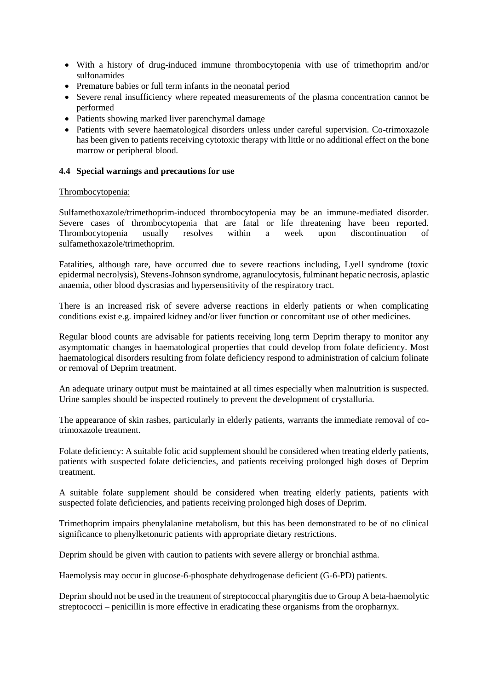- With a history of drug-induced immune thrombocytopenia with use of trimethoprim and/or sulfonamides
- Premature babies or full term infants in the neonatal period
- Severe renal insufficiency where repeated measurements of the plasma concentration cannot be performed
- Patients showing marked liver parenchymal damage
- Patients with severe haematological disorders unless under careful supervision. Co-trimoxazole has been given to patients receiving cytotoxic therapy with little or no additional effect on the bone marrow or peripheral blood.

### **4.4 Special warnings and precautions for use**

### Thrombocytopenia:

Sulfamethoxazole/trimethoprim-induced thrombocytopenia may be an immune-mediated disorder. Severe cases of thrombocytopenia that are fatal or life threatening have been reported. Thrombocytopenia usually resolves within a week upon discontinuation of sulfamethoxazole/trimethoprim.

Fatalities, although rare, have occurred due to severe reactions including, Lyell syndrome (toxic epidermal necrolysis), Stevens-Johnson syndrome, agranulocytosis, fulminant hepatic necrosis, aplastic anaemia, other blood dyscrasias and hypersensitivity of the respiratory tract.

There is an increased risk of severe adverse reactions in elderly patients or when complicating conditions exist e.g. impaired kidney and/or liver function or concomitant use of other medicines.

Regular blood counts are advisable for patients receiving long term Deprim therapy to monitor any asymptomatic changes in haematological properties that could develop from folate deficiency. Most haematological disorders resulting from folate deficiency respond to administration of calcium folinate or removal of Deprim treatment.

An adequate urinary output must be maintained at all times especially when malnutrition is suspected. Urine samples should be inspected routinely to prevent the development of crystalluria.

The appearance of skin rashes, particularly in elderly patients, warrants the immediate removal of cotrimoxazole treatment.

Folate deficiency: A suitable folic acid supplement should be considered when treating elderly patients, patients with suspected folate deficiencies, and patients receiving prolonged high doses of Deprim treatment.

A suitable folate supplement should be considered when treating elderly patients, patients with suspected folate deficiencies, and patients receiving prolonged high doses of Deprim.

Trimethoprim impairs phenylalanine metabolism, but this has been demonstrated to be of no clinical significance to phenylketonuric patients with appropriate dietary restrictions.

Deprim should be given with caution to patients with severe allergy or bronchial asthma.

Haemolysis may occur in glucose-6-phosphate dehydrogenase deficient (G-6-PD) patients.

Deprim should not be used in the treatment of streptococcal pharyngitis due to Group A beta-haemolytic streptococci – penicillin is more effective in eradicating these organisms from the oropharnyx.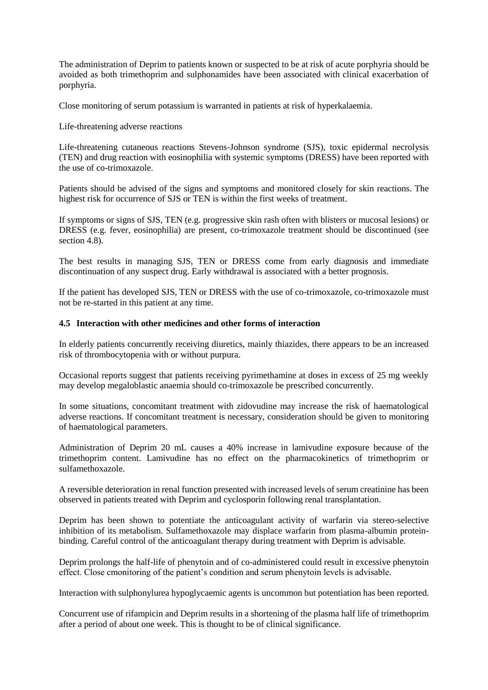The administration of Deprim to patients known or suspected to be at risk of acute porphyria should be avoided as both trimethoprim and sulphonamides have been associated with clinical exacerbation of porphyria.

Close monitoring of serum potassium is warranted in patients at risk of hyperkalaemia.

Life-threatening adverse reactions

Life-threatening cutaneous reactions Stevens-Johnson syndrome (SJS), toxic epidermal necrolysis (TEN) and drug reaction with eosinophilia with systemic symptoms (DRESS) have been reported with the use of co-trimoxazole.

Patients should be advised of the signs and symptoms and monitored closely for skin reactions. The highest risk for occurrence of SJS or TEN is within the first weeks of treatment.

If symptoms or signs of SJS, TEN (e.g. progressive skin rash often with blisters or mucosal lesions) or DRESS (e.g. fever, eosinophilia) are present, co-trimoxazole treatment should be discontinued (see section 4.8).

The best results in managing SJS, TEN or DRESS come from early diagnosis and immediate discontinuation of any suspect drug. Early withdrawal is associated with a better prognosis.

If the patient has developed SJS, TEN or DRESS with the use of co-trimoxazole, co-trimoxazole must not be re-started in this patient at any time.

#### **4.5 Interaction with other medicines and other forms of interaction**

In elderly patients concurrently receiving diuretics, mainly thiazides, there appears to be an increased risk of thrombocytopenia with or without purpura.

Occasional reports suggest that patients receiving pyrimethamine at doses in excess of 25 mg weekly may develop megaloblastic anaemia should co-trimoxazole be prescribed concurrently.

In some situations, concomitant treatment with zidovudine may increase the risk of haematological adverse reactions. If concomitant treatment is necessary, consideration should be given to monitoring of haematological parameters.

Administration of Deprim 20 mL causes a 40% increase in lamivudine exposure because of the trimethoprim content. Lamivudine has no effect on the pharmacokinetics of trimethoprim or sulfamethoxazole.

A reversible deterioration in renal function presented with increased levels of serum creatinine has been observed in patients treated with Deprim and cyclosporin following renal transplantation.

Deprim has been shown to potentiate the anticoagulant activity of warfarin via stereo-selective inhibition of its metabolism. Sulfamethoxazole may displace warfarin from plasma-albumin proteinbinding. Careful control of the anticoagulant therapy during treatment with Deprim is advisable.

Deprim prolongs the half-life of phenytoin and of co-administered could result in excessive phenytoin effect. Close cmonitoring of the patient's condition and serum phenytoin levels is advisable.

Interaction with sulphonylurea hypoglycaemic agents is uncommon but potentiation has been reported.

Concurrent use of rifampicin and Deprim results in a shortening of the plasma half life of trimethoprim after a period of about one week. This is thought to be of clinical significance.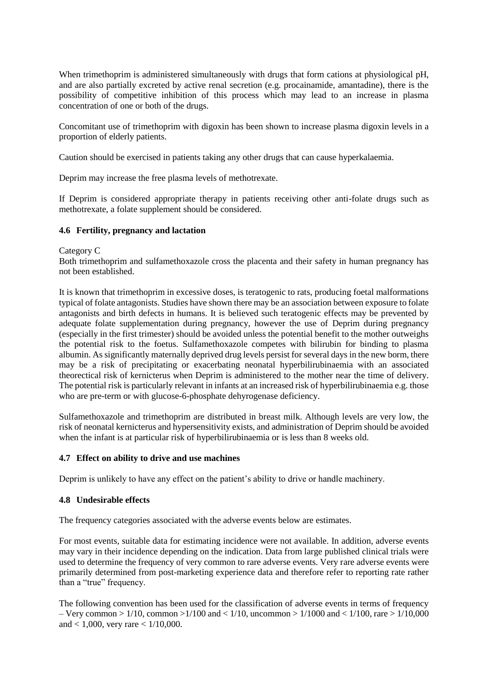When trimethoprim is administered simultaneously with drugs that form cations at physiological pH, and are also partially excreted by active renal secretion (e.g. procainamide, amantadine), there is the possibility of competitive inhibition of this process which may lead to an increase in plasma concentration of one or both of the drugs.

Concomitant use of trimethoprim with digoxin has been shown to increase plasma digoxin levels in a proportion of elderly patients.

Caution should be exercised in patients taking any other drugs that can cause hyperkalaemia.

Deprim may increase the free plasma levels of methotrexate.

If Deprim is considered appropriate therapy in patients receiving other anti-folate drugs such as methotrexate, a folate supplement should be considered.

### **4.6 Fertility, pregnancy and lactation**

#### Category C

Both trimethoprim and sulfamethoxazole cross the placenta and their safety in human pregnancy has not been established.

It is known that trimethoprim in excessive doses, is teratogenic to rats, producing foetal malformations typical of folate antagonists. Studies have shown there may be an association between exposure to folate antagonists and birth defects in humans. It is believed such teratogenic effects may be prevented by adequate folate supplementation during pregnancy, however the use of Deprim during pregnancy (especially in the first trimester) should be avoided unless the potential benefit to the mother outweighs the potential risk to the foetus. Sulfamethoxazole competes with bilirubin for binding to plasma albumin. As significantly maternally deprived drug levels persist for several days in the new borm, there may be a risk of precipitating or exacerbating neonatal hyperbilirubinaemia with an associated theorectical risk of kernicterus when Deprim is administered to the mother near the time of delivery. The potential risk is particularly relevant in infants at an increased risk of hyperbilirubinaemia e.g. those who are pre-term or with glucose-6-phosphate dehyrogenase deficiency.

Sulfamethoxazole and trimethoprim are distributed in breast milk. Although levels are very low, the risk of neonatal kernicterus and hypersensitivity exists, and administration of Deprim should be avoided when the infant is at particular risk of hyperbilirubinaemia or is less than 8 weeks old.

#### **4.7 Effect on ability to drive and use machines**

Deprim is unlikely to have any effect on the patient's ability to drive or handle machinery.

#### **4.8 Undesirable effects**

The frequency categories associated with the adverse events below are estimates.

For most events, suitable data for estimating incidence were not available. In addition, adverse events may vary in their incidence depending on the indication. Data from large published clinical trials were used to determine the frequency of very common to rare adverse events. Very rare adverse events were primarily determined from post-marketing experience data and therefore refer to reporting rate rather than a "true" frequency.

The following convention has been used for the classification of adverse events in terms of frequency – Very common >  $1/10$ , common >  $1/100$  and <  $1/10$ , uncommon >  $1/1000$  and <  $1/100$ , rare >  $1/10,000$ and < 1,000, very rare < 1/10,000.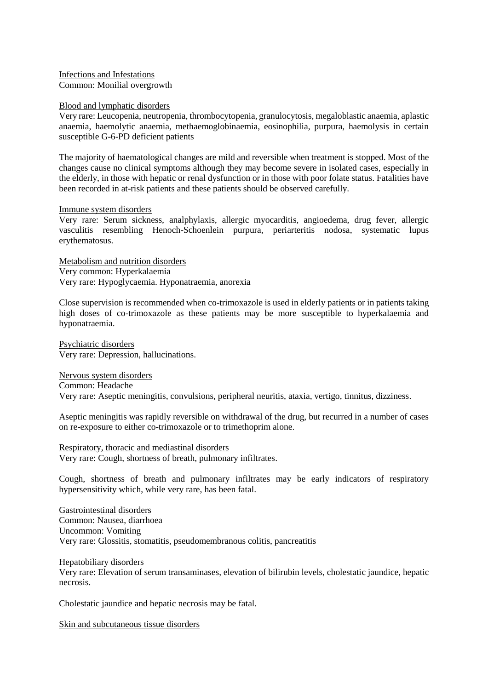Infections and Infestations Common: Monilial overgrowth

#### Blood and lymphatic disorders

Very rare: Leucopenia, neutropenia, thrombocytopenia, granulocytosis, megaloblastic anaemia, aplastic anaemia, haemolytic anaemia, methaemoglobinaemia, eosinophilia, purpura, haemolysis in certain susceptible G-6-PD deficient patients

The majority of haematological changes are mild and reversible when treatment is stopped. Most of the changes cause no clinical symptoms although they may become severe in isolated cases, especially in the elderly, in those with hepatic or renal dysfunction or in those with poor folate status. Fatalities have been recorded in at-risk patients and these patients should be observed carefully.

#### Immune system disorders

Very rare: Serum sickness, analphylaxis, allergic myocarditis, angioedema, drug fever, allergic vasculitis resembling Henoch-Schoenlein purpura, periarteritis nodosa, systematic lupus erythematosus.

Metabolism and nutrition disorders Very common: Hyperkalaemia Very rare: Hypoglycaemia. Hyponatraemia, anorexia

Close supervision is recommended when co-trimoxazole is used in elderly patients or in patients taking high doses of co-trimoxazole as these patients may be more susceptible to hyperkalaemia and hyponatraemia.

Psychiatric disorders Very rare: Depression, hallucinations.

Nervous system disorders Common: Headache Very rare: Aseptic meningitis, convulsions, peripheral neuritis, ataxia, vertigo, tinnitus, dizziness.

Aseptic meningitis was rapidly reversible on withdrawal of the drug, but recurred in a number of cases on re-exposure to either co-trimoxazole or to trimethoprim alone.

Respiratory, thoracic and mediastinal disorders Very rare: Cough, shortness of breath, pulmonary infiltrates.

Cough, shortness of breath and pulmonary infiltrates may be early indicators of respiratory hypersensitivity which, while very rare, has been fatal.

Gastrointestinal disorders Common: Nausea, diarrhoea Uncommon: Vomiting Very rare: Glossitis, stomatitis, pseudomembranous colitis, pancreatitis

Hepatobiliary disorders

Very rare: Elevation of serum transaminases, elevation of bilirubin levels, cholestatic jaundice, hepatic necrosis.

Cholestatic jaundice and hepatic necrosis may be fatal.

Skin and subcutaneous tissue disorders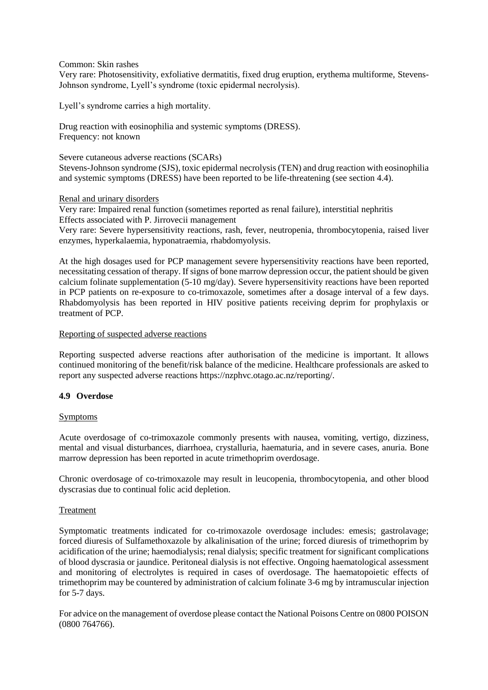Common: Skin rashes

Very rare: Photosensitivity, exfoliative dermatitis, fixed drug eruption, erythema multiforme, Stevens-Johnson syndrome, Lyell's syndrome (toxic epidermal necrolysis).

Lyell's syndrome carries a high mortality.

Drug reaction with eosinophilia and systemic symptoms (DRESS). Frequency: not known

Severe cutaneous adverse reactions (SCARs) Stevens-Johnson syndrome (SJS), toxic epidermal necrolysis (TEN) and drug reaction with eosinophilia and systemic symptoms (DRESS) have been reported to be life-threatening (see section 4.4).

Renal and urinary disorders

Very rare: Impaired renal function (sometimes reported as renal failure), interstitial nephritis Effects associated with P. Jirrovecii management

Very rare: Severe hypersensitivity reactions, rash, fever, neutropenia, thrombocytopenia, raised liver enzymes, hyperkalaemia, hyponatraemia, rhabdomyolysis.

At the high dosages used for PCP management severe hypersensitivity reactions have been reported, necessitating cessation of therapy. If signs of bone marrow depression occur, the patient should be given calcium folinate supplementation (5-10 mg/day). Severe hypersensitivity reactions have been reported in PCP patients on re-exposure to co-trimoxazole, sometimes after a dosage interval of a few days. Rhabdomyolysis has been reported in HIV positive patients receiving deprim for prophylaxis or treatment of PCP.

#### Reporting of suspected adverse reactions

Reporting suspected adverse reactions after authorisation of the medicine is important. It allows continued monitoring of the benefit/risk balance of the medicine. Healthcare professionals are asked to report any suspected adverse reactions https://nzphvc.otago.ac.nz/reporting/.

#### **4.9 Overdose**

#### Symptoms

Acute overdosage of co-trimoxazole commonly presents with nausea, vomiting, vertigo, dizziness, mental and visual disturbances, diarrhoea, crystalluria, haematuria, and in severe cases, anuria. Bone marrow depression has been reported in acute trimethoprim overdosage.

Chronic overdosage of co-trimoxazole may result in leucopenia, thrombocytopenia, and other blood dyscrasias due to continual folic acid depletion.

#### Treatment

Symptomatic treatments indicated for co-trimoxazole overdosage includes: emesis; gastrolavage; forced diuresis of Sulfamethoxazole by alkalinisation of the urine; forced diuresis of trimethoprim by acidification of the urine; haemodialysis; renal dialysis; specific treatment for significant complications of blood dyscrasia or jaundice. Peritoneal dialysis is not effective. Ongoing haematological assessment and monitoring of electrolytes is required in cases of overdosage. The haematopoietic effects of trimethoprim may be countered by administration of calcium folinate 3-6 mg by intramuscular injection for 5-7 days.

For advice on the management of overdose please contact the National Poisons Centre on 0800 POISON (0800 764766).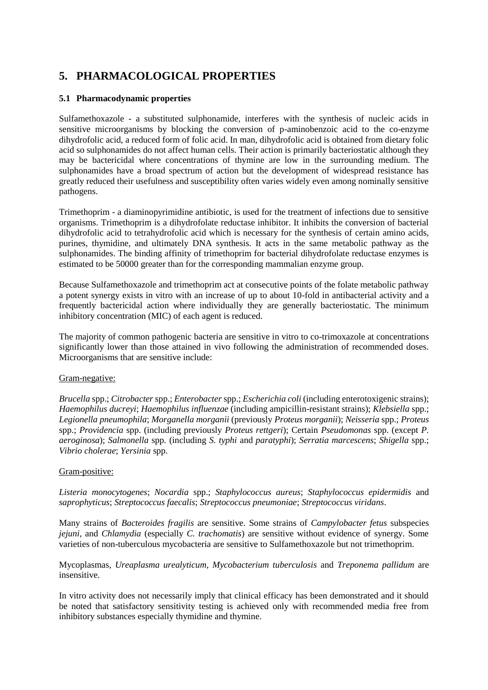# **5. PHARMACOLOGICAL PROPERTIES**

## **5.1 Pharmacodynamic properties**

Sulfamethoxazole - a substituted sulphonamide, interferes with the synthesis of nucleic acids in sensitive microorganisms by blocking the conversion of p-aminobenzoic acid to the co-enzyme dihydrofolic acid, a reduced form of folic acid. In man, dihydrofolic acid is obtained from dietary folic acid so sulphonamides do not affect human cells. Their action is primarily bacteriostatic although they may be bactericidal where concentrations of thymine are low in the surrounding medium. The sulphonamides have a broad spectrum of action but the development of widespread resistance has greatly reduced their usefulness and susceptibility often varies widely even among nominally sensitive pathogens.

Trimethoprim - a diaminopyrimidine antibiotic, is used for the treatment of infections due to sensitive organisms. Trimethoprim is a dihydrofolate reductase inhibitor. It inhibits the conversion of bacterial dihydrofolic acid to tetrahydrofolic acid which is necessary for the synthesis of certain amino acids, purines, thymidine, and ultimately DNA synthesis. It acts in the same metabolic pathway as the sulphonamides. The binding affinity of trimethoprim for bacterial dihydrofolate reductase enzymes is estimated to be 50000 greater than for the corresponding mammalian enzyme group.

Because Sulfamethoxazole and trimethoprim act at consecutive points of the folate metabolic pathway a potent synergy exists in vitro with an increase of up to about 10-fold in antibacterial activity and a frequently bactericidal action where individually they are generally bacteriostatic. The minimum inhibitory concentration (MIC) of each agent is reduced.

The majority of common pathogenic bacteria are sensitive in vitro to co-trimoxazole at concentrations significantly lower than those attained in vivo following the administration of recommended doses. Microorganisms that are sensitive include:

#### Gram-negative:

*Brucella* spp.; *Citrobacter* spp.; *Enterobacter* spp.; *Escherichia coli* (including enterotoxigenic strains); *Haemophilus ducreyi*; *Haemophilus influenzae* (including ampicillin-resistant strains); *Klebsiella* spp.; *Legionella pneumophila*; *Morganella morganii* (previously *Proteus morganii*); *Neisseria* spp.; *Proteus* spp.; *Providencia* spp. (including previously *Proteus rettgeri*); Certain *Pseudomonas* spp. (except *P. aeroginosa*); *Salmonella* spp. (including *S. typhi* and *paratyphi*); *Serratia marcescens*; *Shigella* spp.; *Vibrio cholerae*; *Yersinia* spp.

#### Gram-positive:

*Listeria monocytogenes*; *Nocardia* spp.; *Staphylococcus aureus*; *Staphylococcus epidermidis* and *saprophyticus*; *Streptococcus faecalis*; *Streptococcus pneumoniae*; *Streptococcus viridans*.

Many strains of *Bacteroides fragilis* are sensitive. Some strains of *Campylobacter fetus* subspecies *jejuni*, and *Chlamydia* (especially *C. trachomatis*) are sensitive without evidence of synergy. Some varieties of non-tuberculous mycobacteria are sensitive to Sulfamethoxazole but not trimethoprim.

Mycoplasmas, *Ureaplasma urealyticum*, *Mycobacterium tuberculosis* and *Treponema pallidum* are insensitive.

In vitro activity does not necessarily imply that clinical efficacy has been demonstrated and it should be noted that satisfactory sensitivity testing is achieved only with recommended media free from inhibitory substances especially thymidine and thymine.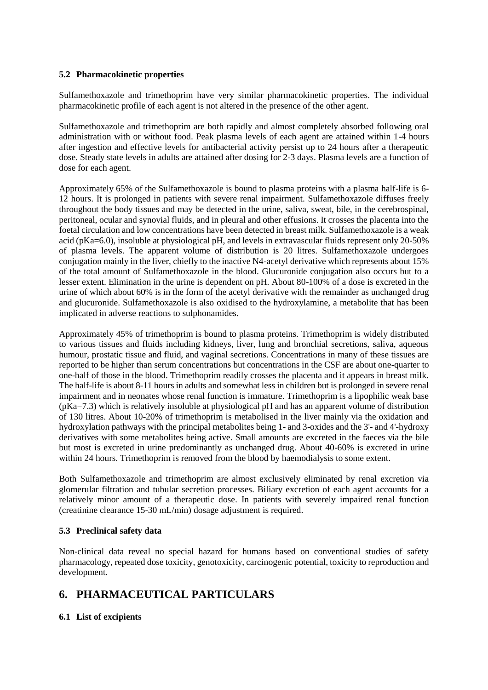## **5.2 Pharmacokinetic properties**

Sulfamethoxazole and trimethoprim have very similar pharmacokinetic properties. The individual pharmacokinetic profile of each agent is not altered in the presence of the other agent.

Sulfamethoxazole and trimethoprim are both rapidly and almost completely absorbed following oral administration with or without food. Peak plasma levels of each agent are attained within 1-4 hours after ingestion and effective levels for antibacterial activity persist up to 24 hours after a therapeutic dose. Steady state levels in adults are attained after dosing for 2-3 days. Plasma levels are a function of dose for each agent.

Approximately 65% of the Sulfamethoxazole is bound to plasma proteins with a plasma half-life is 6- 12 hours. It is prolonged in patients with severe renal impairment. Sulfamethoxazole diffuses freely throughout the body tissues and may be detected in the urine, saliva, sweat, bile, in the cerebrospinal, peritoneal, ocular and synovial fluids, and in pleural and other effusions. It crosses the placenta into the foetal circulation and low concentrations have been detected in breast milk. Sulfamethoxazole is a weak acid (pKa=6.0), insoluble at physiological pH, and levels in extravascular fluids represent only 20-50% of plasma levels. The apparent volume of distribution is 20 litres. Sulfamethoxazole undergoes conjugation mainly in the liver, chiefly to the inactive N4-acetyl derivative which represents about 15% of the total amount of Sulfamethoxazole in the blood. Glucuronide conjugation also occurs but to a lesser extent. Elimination in the urine is dependent on pH. About 80-100% of a dose is excreted in the urine of which about 60% is in the form of the acetyl derivative with the remainder as unchanged drug and glucuronide. Sulfamethoxazole is also oxidised to the hydroxylamine, a metabolite that has been implicated in adverse reactions to sulphonamides.

Approximately 45% of trimethoprim is bound to plasma proteins. Trimethoprim is widely distributed to various tissues and fluids including kidneys, liver, lung and bronchial secretions, saliva, aqueous humour, prostatic tissue and fluid, and vaginal secretions. Concentrations in many of these tissues are reported to be higher than serum concentrations but concentrations in the CSF are about one-quarter to one-half of those in the blood. Trimethoprim readily crosses the placenta and it appears in breast milk. The half-life is about 8-11 hours in adults and somewhat less in children but is prolonged in severe renal impairment and in neonates whose renal function is immature. Trimethoprim is a lipophilic weak base (pKa=7.3) which is relatively insoluble at physiological pH and has an apparent volume of distribution of 130 litres. About 10-20% of trimethoprim is metabolised in the liver mainly via the oxidation and hydroxylation pathways with the principal metabolites being 1- and 3-oxides and the 3'- and 4'-hydroxy derivatives with some metabolites being active. Small amounts are excreted in the faeces via the bile but most is excreted in urine predominantly as unchanged drug. About 40-60% is excreted in urine within 24 hours. Trimethoprim is removed from the blood by haemodialysis to some extent.

Both Sulfamethoxazole and trimethoprim are almost exclusively eliminated by renal excretion via glomerular filtration and tubular secretion processes. Biliary excretion of each agent accounts for a relatively minor amount of a therapeutic dose. In patients with severely impaired renal function (creatinine clearance 15-30 mL/min) dosage adjustment is required.

## **5.3 Preclinical safety data**

Non-clinical data reveal no special hazard for humans based on conventional studies of safety pharmacology, repeated dose toxicity, genotoxicity, carcinogenic potential, toxicity to reproduction and development.

# **6. PHARMACEUTICAL PARTICULARS**

## **6.1 List of excipients**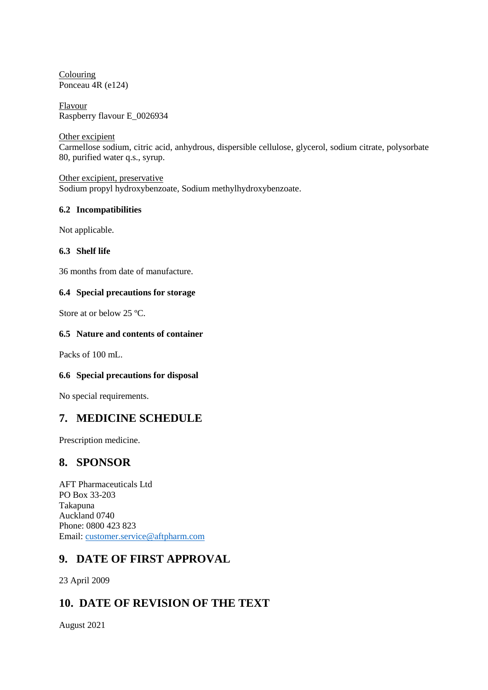Colouring Ponceau 4R (e124)

Flavour Raspberry flavour E\_0026934

Other excipient Carmellose sodium, citric acid, anhydrous, dispersible cellulose, glycerol, sodium citrate, polysorbate 80, purified water q.s., syrup.

Other excipient, preservative Sodium propyl hydroxybenzoate, Sodium methylhydroxybenzoate.

### **6.2 Incompatibilities**

Not applicable.

## **6.3 Shelf life**

36 months from date of manufacture.

## **6.4 Special precautions for storage**

Store at or below 25 ºC.

### **6.5 Nature and contents of container**

Packs of 100 mL.

## **6.6 Special precautions for disposal**

No special requirements.

## **7. MEDICINE SCHEDULE**

Prescription medicine.

## **8. SPONSOR**

AFT Pharmaceuticals Ltd PO Box 33-203 Takapuna Auckland 0740 Phone: 0800 423 823 Email: [customer.service@aftpharm.com](mailto:customer.service@aftpharm.com)

# **9. DATE OF FIRST APPROVAL**

23 April 2009

## **10. DATE OF REVISION OF THE TEXT**

August 2021